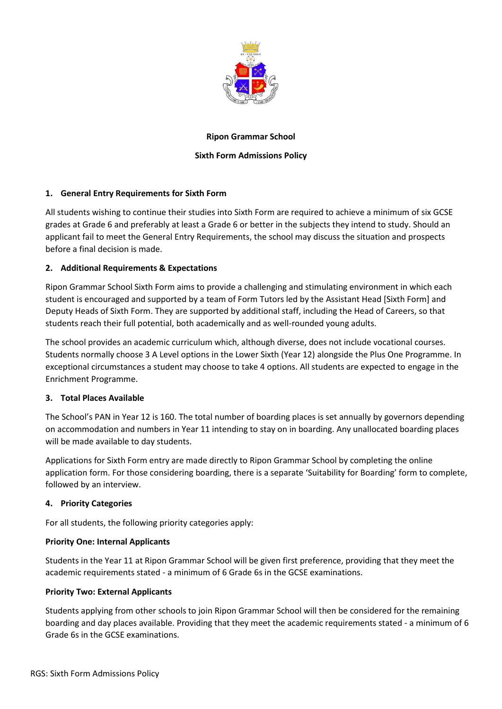

### **Ripon Grammar School**

## **Sixth Form Admissions Policy**

## **1. General Entry Requirements for Sixth Form**

All students wishing to continue their studies into Sixth Form are required to achieve a minimum of six GCSE grades at Grade 6 and preferably at least a Grade 6 or better in the subjects they intend to study. Should an applicant fail to meet the General Entry Requirements, the school may discuss the situation and prospects before a final decision is made.

### **2. Additional Requirements & Expectations**

Ripon Grammar School Sixth Form aims to provide a challenging and stimulating environment in which each student is encouraged and supported by a team of Form Tutors led by the Assistant Head [Sixth Form] and Deputy Heads of Sixth Form. They are supported by additional staff, including the Head of Careers, so that students reach their full potential, both academically and as well-rounded young adults.

The school provides an academic curriculum which, although diverse, does not include vocational courses. Students normally choose 3 A Level options in the Lower Sixth (Year 12) alongside the Plus One Programme. In exceptional circumstances a student may choose to take 4 options. All students are expected to engage in the Enrichment Programme.

#### **3. Total Places Available**

The School's PAN in Year 12 is 160. The total number of boarding places is set annually by governors depending on accommodation and numbers in Year 11 intending to stay on in boarding. Any unallocated boarding places will be made available to day students.

Applications for Sixth Form entry are made directly to Ripon Grammar School by completing the online application form. For those considering boarding, there is a separate 'Suitability for Boarding' form to complete, followed by an interview.

#### **4. Priority Categories**

For all students, the following priority categories apply:

#### **Priority One: Internal Applicants**

Students in the Year 11 at Ripon Grammar School will be given first preference, providing that they meet the academic requirements stated - a minimum of 6 Grade 6s in the GCSE examinations.

#### **Priority Two: External Applicants**

Students applying from other schools to join Ripon Grammar School will then be considered for the remaining boarding and day places available. Providing that they meet the academic requirements stated - a minimum of 6 Grade 6s in the GCSE examinations.